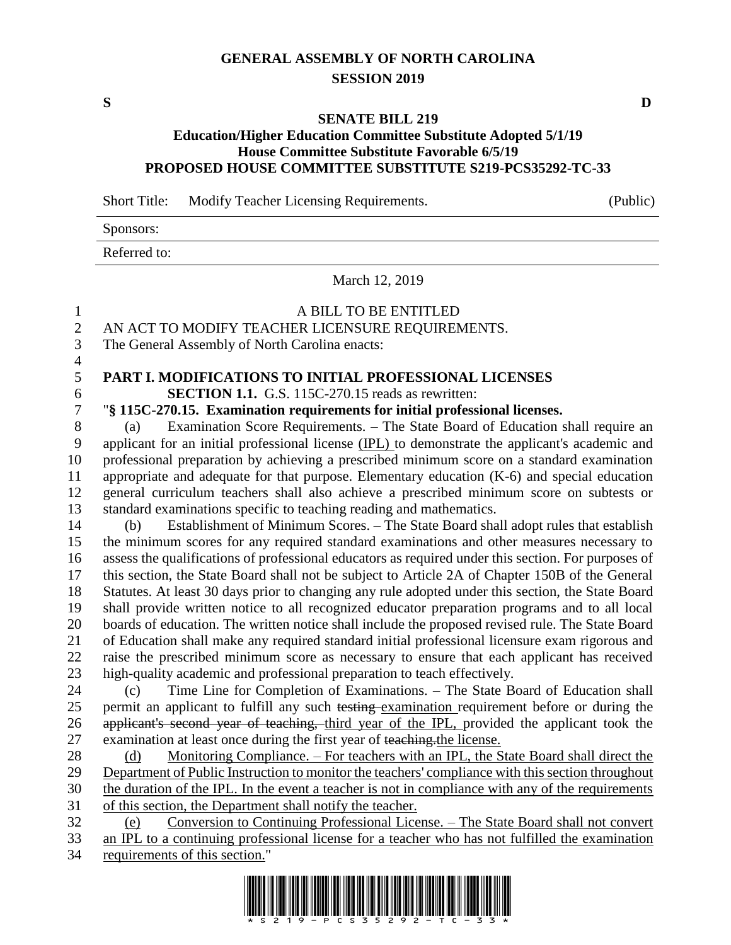## **GENERAL ASSEMBLY OF NORTH CAROLINA SESSION 2019**

**S D**

## **SENATE BILL 219**

## **Education/Higher Education Committee Substitute Adopted 5/1/19 House Committee Substitute Favorable 6/5/19 PROPOSED HOUSE COMMITTEE SUBSTITUTE S219-PCS35292-TC-33**

Short Title: Modify Teacher Licensing Requirements. (Public)

Sponsors:

Referred to:

March 12, 2019

| $\mathbf{1}$   | A BILL TO BE ENTITLED                                                                               |  |  |  |
|----------------|-----------------------------------------------------------------------------------------------------|--|--|--|
| $\overline{c}$ | AN ACT TO MODIFY TEACHER LICENSURE REQUIREMENTS.                                                    |  |  |  |
| 3              | The General Assembly of North Carolina enacts:                                                      |  |  |  |
| $\overline{4}$ |                                                                                                     |  |  |  |
| 5              | PART I. MODIFICATIONS TO INITIAL PROFESSIONAL LICENSES                                              |  |  |  |
| 6              | <b>SECTION 1.1.</b> G.S. 115C-270.15 reads as rewritten:                                            |  |  |  |
| 7              | "§ 115C-270.15. Examination requirements for initial professional licenses.                         |  |  |  |
| 8              | Examination Score Requirements. - The State Board of Education shall require an<br>(a)              |  |  |  |
| 9              | applicant for an initial professional license (IPL) to demonstrate the applicant's academic and     |  |  |  |
| 10             | professional preparation by achieving a prescribed minimum score on a standard examination          |  |  |  |
| 11             | appropriate and adequate for that purpose. Elementary education $(K-6)$ and special education       |  |  |  |
| 12             | general curriculum teachers shall also achieve a prescribed minimum score on subtests or            |  |  |  |
| 13             | standard examinations specific to teaching reading and mathematics.                                 |  |  |  |
| 14             | Establishment of Minimum Scores. - The State Board shall adopt rules that establish<br>(b)          |  |  |  |
| 15             | the minimum scores for any required standard examinations and other measures necessary to           |  |  |  |
| 16             | assess the qualifications of professional educators as required under this section. For purposes of |  |  |  |
| 17             | this section, the State Board shall not be subject to Article 2A of Chapter 150B of the General     |  |  |  |
| 18             | Statutes. At least 30 days prior to changing any rule adopted under this section, the State Board   |  |  |  |
| 19             | shall provide written notice to all recognized educator preparation programs and to all local       |  |  |  |
| 20             | boards of education. The written notice shall include the proposed revised rule. The State Board    |  |  |  |
| 21             | of Education shall make any required standard initial professional licensure exam rigorous and      |  |  |  |
| 22             | raise the prescribed minimum score as necessary to ensure that each applicant has received          |  |  |  |
| 23             | high-quality academic and professional preparation to teach effectively.                            |  |  |  |
| 24             | Time Line for Completion of Examinations. - The State Board of Education shall<br>(c)               |  |  |  |
| 25             | permit an applicant to fulfill any such testing examination requirement before or during the        |  |  |  |
| 26             | applicant's second year of teaching, third year of the IPL, provided the applicant took the         |  |  |  |
| 27             | examination at least once during the first year of teaching the license.                            |  |  |  |
| 28             | Monitoring Compliance. – For teachers with an IPL, the State Board shall direct the<br>(d)          |  |  |  |
| 29             | Department of Public Instruction to monitor the teachers' compliance with this section throughout   |  |  |  |
| 30             | the duration of the IPL. In the event a teacher is not in compliance with any of the requirements   |  |  |  |
| 31             | of this section, the Department shall notify the teacher.                                           |  |  |  |
| 32             | <u>Conversion to Continuing Professional License. – The State Board shall not convert</u><br>(e)    |  |  |  |
| 33             | an IPL to a continuing professional license for a teacher who has not fulfilled the examination     |  |  |  |
| 34             | requirements of this section."                                                                      |  |  |  |

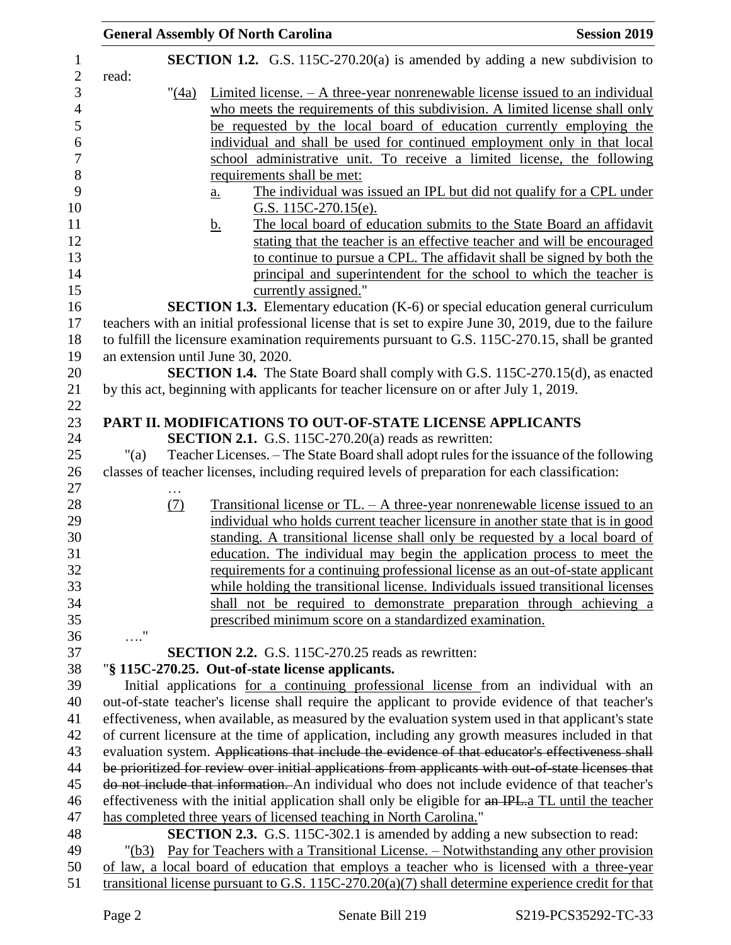|                                                                                                     |                                                                                              | <b>General Assembly Of North Carolina</b>                                                             | <b>Session 2019</b> |  |
|-----------------------------------------------------------------------------------------------------|----------------------------------------------------------------------------------------------|-------------------------------------------------------------------------------------------------------|---------------------|--|
|                                                                                                     |                                                                                              | SECTION 1.2. G.S. 115C-270.20(a) is amended by adding a new subdivision to                            |                     |  |
| read:                                                                                               |                                                                                              |                                                                                                       |                     |  |
|                                                                                                     | " <u>(4a)</u>                                                                                | $Limited license. - A three-year nonrenewable license issued to an individual$                        |                     |  |
|                                                                                                     |                                                                                              | who meets the requirements of this subdivision. A limited license shall only                          |                     |  |
|                                                                                                     |                                                                                              | be requested by the local board of education currently employing the                                  |                     |  |
|                                                                                                     |                                                                                              | individual and shall be used for continued employment only in that local                              |                     |  |
|                                                                                                     |                                                                                              | school administrative unit. To receive a limited license, the following                               |                     |  |
|                                                                                                     |                                                                                              | requirements shall be met:                                                                            |                     |  |
|                                                                                                     |                                                                                              | The individual was issued an IPL but did not qualify for a CPL under<br>$\underline{\mathbf{a}}$ .    |                     |  |
|                                                                                                     |                                                                                              | G.S. $115C-270.15(e)$ .                                                                               |                     |  |
|                                                                                                     |                                                                                              | The local board of education submits to the State Board an affidavit<br><u>b.</u>                     |                     |  |
|                                                                                                     |                                                                                              | stating that the teacher is an effective teacher and will be encouraged                               |                     |  |
|                                                                                                     |                                                                                              | to continue to pursue a CPL. The affidavit shall be signed by both the                                |                     |  |
|                                                                                                     |                                                                                              | principal and superintendent for the school to which the teacher is                                   |                     |  |
|                                                                                                     |                                                                                              | currently assigned."                                                                                  |                     |  |
|                                                                                                     |                                                                                              |                                                                                                       |                     |  |
|                                                                                                     |                                                                                              | <b>SECTION 1.3.</b> Elementary education (K-6) or special education general curriculum                |                     |  |
|                                                                                                     |                                                                                              | teachers with an initial professional license that is set to expire June 30, 2019, due to the failure |                     |  |
|                                                                                                     |                                                                                              | to fulfill the licensure examination requirements pursuant to G.S. 115C-270.15, shall be granted      |                     |  |
|                                                                                                     |                                                                                              | an extension until June 30, 2020.                                                                     |                     |  |
|                                                                                                     |                                                                                              | <b>SECTION 1.4.</b> The State Board shall comply with G.S. 115C-270.15(d), as enacted                 |                     |  |
|                                                                                                     |                                                                                              | by this act, beginning with applicants for teacher licensure on or after July 1, 2019.                |                     |  |
|                                                                                                     |                                                                                              |                                                                                                       |                     |  |
|                                                                                                     |                                                                                              | PART II. MODIFICATIONS TO OUT-OF-STATE LICENSE APPLICANTS                                             |                     |  |
|                                                                                                     |                                                                                              | <b>SECTION 2.1.</b> G.S. 115C-270.20(a) reads as rewritten:                                           |                     |  |
| " $(a)$                                                                                             |                                                                                              | Teacher Licenses. - The State Board shall adopt rules for the issuance of the following               |                     |  |
|                                                                                                     |                                                                                              | classes of teacher licenses, including required levels of preparation for each classification:        |                     |  |
|                                                                                                     |                                                                                              | Transitional license or $TL - A$ three-year nonrenewable license issued to an                         |                     |  |
|                                                                                                     | (7)                                                                                          | individual who holds current teacher licensure in another state that is in good                       |                     |  |
|                                                                                                     |                                                                                              |                                                                                                       |                     |  |
|                                                                                                     |                                                                                              | standing. A transitional license shall only be requested by a local board of                          |                     |  |
|                                                                                                     |                                                                                              | education. The individual may begin the application process to meet the                               |                     |  |
|                                                                                                     |                                                                                              | requirements for a continuing professional license as an out-of-state applicant                       |                     |  |
|                                                                                                     |                                                                                              | while holding the transitional license. Individuals issued transitional licenses                      |                     |  |
|                                                                                                     |                                                                                              | shall not be required to demonstrate preparation through achieving a                                  |                     |  |
|                                                                                                     |                                                                                              | prescribed minimum score on a standardized examination.                                               |                     |  |
| $\ldots$ "                                                                                          |                                                                                              | <b>SECTION 2.2.</b> G.S. 115C-270.25 reads as rewritten:                                              |                     |  |
|                                                                                                     |                                                                                              | "§ 115C-270.25. Out-of-state license applicants.                                                      |                     |  |
|                                                                                                     |                                                                                              |                                                                                                       |                     |  |
| Initial applications for a continuing professional license from an individual with an               |                                                                                              |                                                                                                       |                     |  |
| out-of-state teacher's license shall require the applicant to provide evidence of that teacher's    |                                                                                              |                                                                                                       |                     |  |
| effectiveness, when available, as measured by the evaluation system used in that applicant's state  |                                                                                              |                                                                                                       |                     |  |
| of current licensure at the time of application, including any growth measures included in that     |                                                                                              |                                                                                                       |                     |  |
| evaluation system. Applications that include the evidence of that educator's effectiveness shall    |                                                                                              |                                                                                                       |                     |  |
| be prioritized for review over initial applications from applicants with out-of-state licenses that |                                                                                              |                                                                                                       |                     |  |
| do not include that information. An individual who does not include evidence of that teacher's      |                                                                                              |                                                                                                       |                     |  |
| effectiveness with the initial application shall only be eligible for an IPL-a TL until the teacher |                                                                                              |                                                                                                       |                     |  |
|                                                                                                     |                                                                                              | has completed three years of licensed teaching in North Carolina."                                    |                     |  |
|                                                                                                     |                                                                                              | <b>SECTION 2.3.</b> G.S. 115C-302.1 is amended by adding a new subsection to read:                    |                     |  |
|                                                                                                     | Pay for Teachers with a Transitional License. – Notwithstanding any other provision<br>"(b3) |                                                                                                       |                     |  |
|                                                                                                     |                                                                                              | of law, a local board of education that employs a teacher who is licensed with a three-year           |                     |  |
|                                                                                                     |                                                                                              | transitional license pursuant to G.S. $115C-270.20(a)(7)$ shall determine experience credit for that  |                     |  |